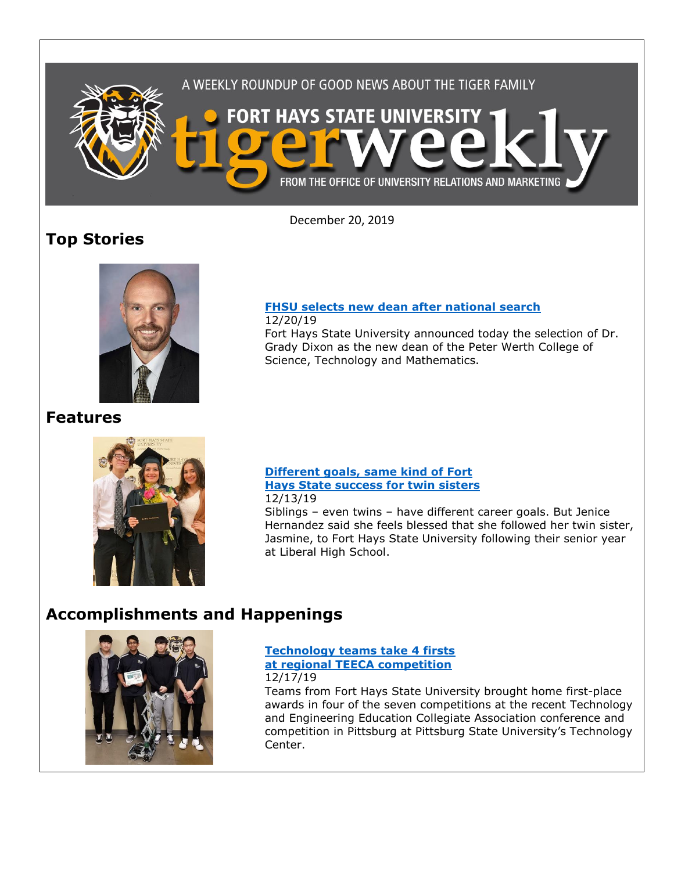

December 20, 2019

# **Top Stories**



**Features**



## **[FHSU selects new dean after national search](https://www.fhsu.edu/news/2019/12/fhsu-selects-new-dean-after-national-search)**

12/20/19

Fort Hays State University announced today the selection of Dr. Grady Dixon as the new dean of the Peter Werth College of Science, Technology and Mathematics.

#### **[Different goals, same kind of Fort](https://www.fhsu.edu/news/2019/12/different-goals,-same-kind-of-fort-hays-state-success-for-twin-liberal-sisters)  [Hays State success for twin sisters](https://www.fhsu.edu/news/2019/12/different-goals,-same-kind-of-fort-hays-state-success-for-twin-liberal-sisters)** 12/13/19

Siblings – even twins – have different career goals. But Jenice Hernandez said she feels blessed that she followed her twin sister, Jasmine, to Fort Hays State University following their senior year at Liberal High School.

## **Accomplishments and Happenings**



### **[Technology teams take 4 firsts](https://www.fhsu.edu/news/2019/12/fort-hays-state-technology-teams-take-4-firsts-at-regional-teeca-competition)  [at regional TEECA competition](https://www.fhsu.edu/news/2019/12/fort-hays-state-technology-teams-take-4-firsts-at-regional-teeca-competition)** 12/17/19

Teams from Fort Hays State University brought home first-place awards in four of the seven competitions at the recent Technology and Engineering Education Collegiate Association conference and competition in Pittsburg at Pittsburg State University's Technology Center.